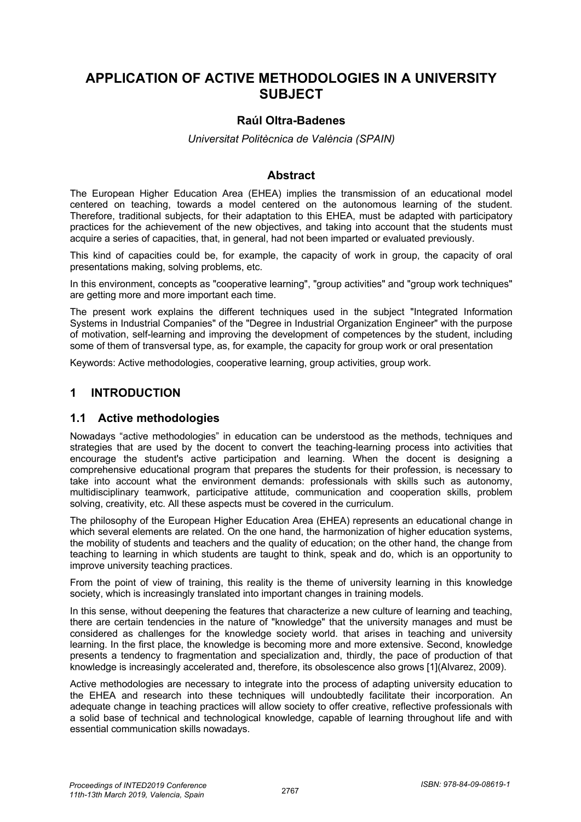# **APPLICATION OF ACTIVE METHODOLOGIES IN A UNIVERSITY SUBJECT**

#### **Raúl Oltra-Badenes**

#### *Universitat Politècnica de València (SPAIN)*

#### **Abstract**

The European Higher Education Area (EHEA) implies the transmission of an educational model centered on teaching, towards a model centered on the autonomous learning of the student. Therefore, traditional subjects, for their adaptation to this EHEA, must be adapted with participatory practices for the achievement of the new objectives, and taking into account that the students must acquire a series of capacities, that, in general, had not been imparted or evaluated previously.

This kind of capacities could be, for example, the capacity of work in group, the capacity of oral presentations making, solving problems, etc.

In this environment, concepts as "cooperative learning", "group activities" and "group work techniques" are getting more and more important each time.

The present work explains the different techniques used in the subject "Integrated Information Systems in Industrial Companies" of the "Degree in Industrial Organization Engineer" with the purpose of motivation, self-learning and improving the development of competences by the student, including some of them of transversal type, as, for example, the capacity for group work or oral presentation

Keywords: Active methodologies, cooperative learning, group activities, group work.

### **1 INTRODUCTION**

#### **1.1 Active methodologies**

Nowadays "active methodologies" in education can be understood as the methods, techniques and strategies that are used by the docent to convert the teaching-learning process into activities that encourage the student's active participation and learning. When the docent is designing a comprehensive educational program that prepares the students for their profession, is necessary to take into account what the environment demands: professionals with skills such as autonomy, multidisciplinary teamwork, participative attitude, communication and cooperation skills, problem solving, creativity, etc. All these aspects must be covered in the curriculum.

The philosophy of the European Higher Education Area (EHEA) represents an educational change in which several elements are related. On the one hand, the harmonization of higher education systems, the mobility of students and teachers and the quality of education; on the other hand, the change from teaching to learning in which students are taught to think, speak and do, which is an opportunity to improve university teaching practices.

From the point of view of training, this reality is the theme of university learning in this knowledge society, which is increasingly translated into important changes in training models.

In this sense, without deepening the features that characterize a new culture of learning and teaching, there are certain tendencies in the nature of "knowledge" that the university manages and must be considered as challenges for the knowledge society world. that arises in teaching and university learning. In the first place, the knowledge is becoming more and more extensive. Second, knowledge presents a tendency to fragmentation and specialization and, thirdly, the pace of production of that knowledge is increasingly accelerated and, therefore, its obsolescence also grows [1](Alvarez, 2009).

Active methodologies are necessary to integrate into the process of adapting university education to the EHEA and research into these techniques will undoubtedly facilitate their incorporation. An adequate change in teaching practices will allow society to offer creative, reflective professionals with a solid base of technical and technological knowledge, capable of learning throughout life and with essential communication skills nowadays.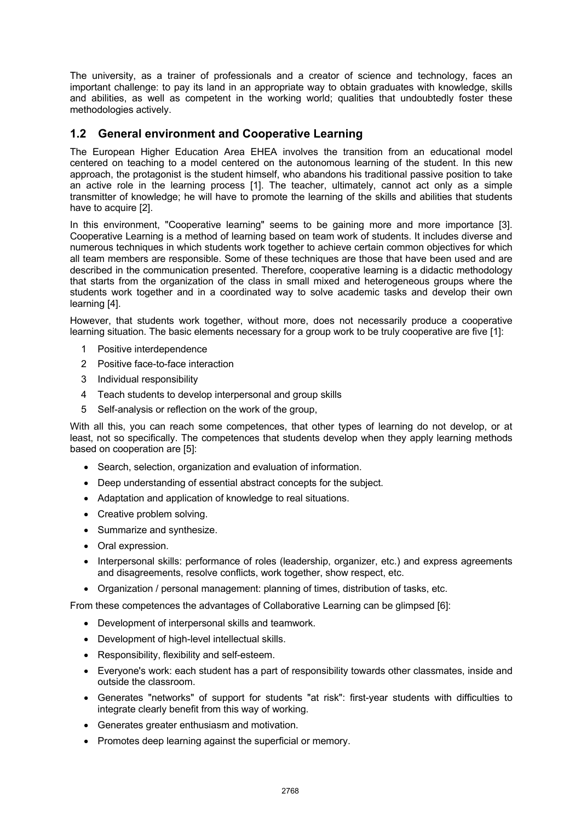The university, as a trainer of professionals and a creator of science and technology, faces an important challenge: to pay its land in an appropriate way to obtain graduates with knowledge, skills and abilities, as well as competent in the working world; qualities that undoubtedly foster these methodologies actively.

### **1.2 General environment and Cooperative Learning**

The European Higher Education Area EHEA involves the transition from an educational model centered on teaching to a model centered on the autonomous learning of the student. In this new approach, the protagonist is the student himself, who abandons his traditional passive position to take an active role in the learning process [1]. The teacher, ultimately, cannot act only as a simple transmitter of knowledge; he will have to promote the learning of the skills and abilities that students have to acquire [2].

In this environment, "Cooperative learning" seems to be gaining more and more importance [3]. Cooperative Learning is a method of learning based on team work of students. It includes diverse and numerous techniques in which students work together to achieve certain common objectives for which all team members are responsible. Some of these techniques are those that have been used and are described in the communication presented. Therefore, cooperative learning is a didactic methodology that starts from the organization of the class in small mixed and heterogeneous groups where the students work together and in a coordinated way to solve academic tasks and develop their own learning [4].

However, that students work together, without more, does not necessarily produce a cooperative learning situation. The basic elements necessary for a group work to be truly cooperative are five [1]:

- 1 Positive interdependence
- 2 Positive face-to-face interaction
- 3 Individual responsibility
- 4 Teach students to develop interpersonal and group skills
- 5 Self-analysis or reflection on the work of the group,

With all this, you can reach some competences, that other types of learning do not develop, or at least, not so specifically. The competences that students develop when they apply learning methods based on cooperation are [5]:

- Search, selection, organization and evaluation of information.
- Deep understanding of essential abstract concepts for the subject.
- Adaptation and application of knowledge to real situations.
- Creative problem solving.
- Summarize and synthesize.
- Oral expression.
- Interpersonal skills: performance of roles (leadership, organizer, etc.) and express agreements and disagreements, resolve conflicts, work together, show respect, etc.
- Organization / personal management: planning of times, distribution of tasks, etc.

From these competences the advantages of Collaborative Learning can be glimpsed [6]:

- Development of interpersonal skills and teamwork.
- Development of high-level intellectual skills.
- Responsibility, flexibility and self-esteem.
- Everyone's work: each student has a part of responsibility towards other classmates, inside and outside the classroom.
- Generates "networks" of support for students "at risk": first-year students with difficulties to integrate clearly benefit from this way of working.
- Generates greater enthusiasm and motivation.
- Promotes deep learning against the superficial or memory.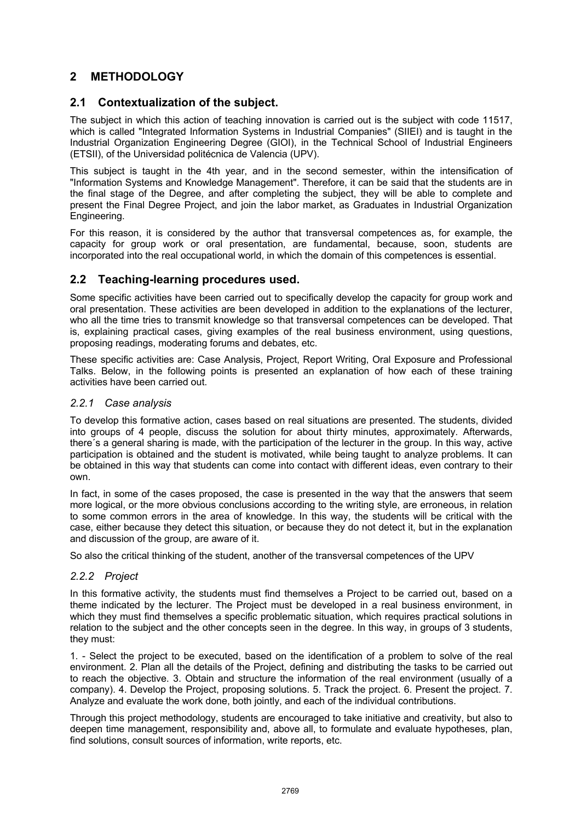## **2 METHODOLOGY**

### **2.1 Contextualization of the subject.**

The subject in which this action of teaching innovation is carried out is the subject with code 11517, which is called "Integrated Information Systems in Industrial Companies" (SIIEI) and is taught in the Industrial Organization Engineering Degree (GIOI), in the Technical School of Industrial Engineers (ETSII), of the Universidad politécnica de Valencia (UPV).

This subject is taught in the 4th year, and in the second semester, within the intensification of "Information Systems and Knowledge Management". Therefore, it can be said that the students are in the final stage of the Degree, and after completing the subject, they will be able to complete and present the Final Degree Project, and join the labor market, as Graduates in Industrial Organization Engineering.

For this reason, it is considered by the author that transversal competences as, for example, the capacity for group work or oral presentation, are fundamental, because, soon, students are incorporated into the real occupational world, in which the domain of this competences is essential.

### **2.2 Teaching-learning procedures used.**

Some specific activities have been carried out to specifically develop the capacity for group work and oral presentation. These activities are been developed in addition to the explanations of the lecturer, who all the time tries to transmit knowledge so that transversal competences can be developed. That is, explaining practical cases, giving examples of the real business environment, using questions, proposing readings, moderating forums and debates, etc.

These specific activities are: Case Analysis, Project, Report Writing, Oral Exposure and Professional Talks. Below, in the following points is presented an explanation of how each of these training activities have been carried out.

#### *2.2.1 Case analysis*

To develop this formative action, cases based on real situations are presented. The students, divided into groups of 4 people, discuss the solution for about thirty minutes, approximately. Afterwards, there´s a general sharing is made, with the participation of the lecturer in the group. In this way, active participation is obtained and the student is motivated, while being taught to analyze problems. It can be obtained in this way that students can come into contact with different ideas, even contrary to their own.

In fact, in some of the cases proposed, the case is presented in the way that the answers that seem more logical, or the more obvious conclusions according to the writing style, are erroneous, in relation to some common errors in the area of knowledge. In this way, the students will be critical with the case, either because they detect this situation, or because they do not detect it, but in the explanation and discussion of the group, are aware of it.

So also the critical thinking of the student, another of the transversal competences of the UPV

#### *2.2.2 Project*

In this formative activity, the students must find themselves a Project to be carried out, based on a theme indicated by the lecturer. The Project must be developed in a real business environment, in which they must find themselves a specific problematic situation, which requires practical solutions in relation to the subject and the other concepts seen in the degree. In this way, in groups of 3 students, they must:

1. - Select the project to be executed, based on the identification of a problem to solve of the real environment. 2. Plan all the details of the Project, defining and distributing the tasks to be carried out to reach the objective. 3. Obtain and structure the information of the real environment (usually of a company). 4. Develop the Project, proposing solutions. 5. Track the project. 6. Present the project. 7. Analyze and evaluate the work done, both jointly, and each of the individual contributions.

Through this project methodology, students are encouraged to take initiative and creativity, but also to deepen time management, responsibility and, above all, to formulate and evaluate hypotheses, plan, find solutions, consult sources of information, write reports, etc.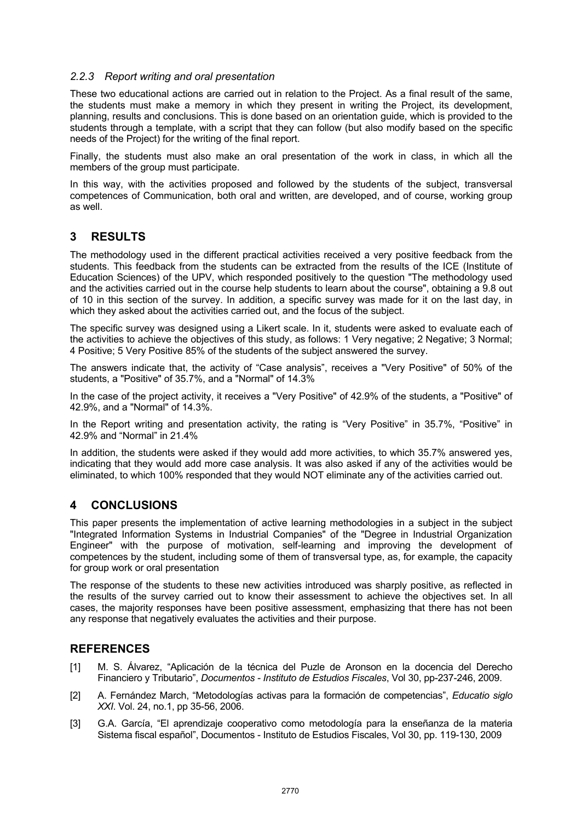#### *2.2.3 Report writing and oral presentation*

These two educational actions are carried out in relation to the Project. As a final result of the same, the students must make a memory in which they present in writing the Project, its development, planning, results and conclusions. This is done based on an orientation guide, which is provided to the students through a template, with a script that they can follow (but also modify based on the specific needs of the Project) for the writing of the final report.

Finally, the students must also make an oral presentation of the work in class, in which all the members of the group must participate.

In this way, with the activities proposed and followed by the students of the subject, transversal competences of Communication, both oral and written, are developed, and of course, working group as well.

### **3 RESULTS**

The methodology used in the different practical activities received a very positive feedback from the students. This feedback from the students can be extracted from the results of the ICE (Institute of Education Sciences) of the UPV, which responded positively to the question "The methodology used and the activities carried out in the course help students to learn about the course", obtaining a 9.8 out of 10 in this section of the survey. In addition, a specific survey was made for it on the last day, in which they asked about the activities carried out, and the focus of the subject.

The specific survey was designed using a Likert scale. In it, students were asked to evaluate each of the activities to achieve the objectives of this study, as follows: 1 Very negative; 2 Negative; 3 Normal; 4 Positive; 5 Very Positive 85% of the students of the subject answered the survey.

The answers indicate that, the activity of "Case analysis", receives a "Very Positive" of 50% of the students, a "Positive" of 35.7%, and a "Normal" of 14.3%

In the case of the project activity, it receives a "Very Positive" of 42.9% of the students, a "Positive" of 42.9%, and a "Normal" of 14.3%.

In the Report writing and presentation activity, the rating is "Very Positive" in 35.7%, "Positive" in 42.9% and "Normal" in 21.4%

In addition, the students were asked if they would add more activities, to which 35.7% answered yes, indicating that they would add more case analysis. It was also asked if any of the activities would be eliminated, to which 100% responded that they would NOT eliminate any of the activities carried out.

### **4 CONCLUSIONS**

This paper presents the implementation of active learning methodologies in a subject in the subject "Integrated Information Systems in Industrial Companies" of the "Degree in Industrial Organization Engineer" with the purpose of motivation, self-learning and improving the development of competences by the student, including some of them of transversal type, as, for example, the capacity for group work or oral presentation

The response of the students to these new activities introduced was sharply positive, as reflected in the results of the survey carried out to know their assessment to achieve the objectives set. In all cases, the majority responses have been positive assessment, emphasizing that there has not been any response that negatively evaluates the activities and their purpose.

#### **REFERENCES**

- [1] M. S. Álvarez, "Aplicación de la técnica del Puzle de Aronson en la docencia del Derecho Financiero y Tributario", *Documentos - Instituto de Estudios Fiscales*, Vol 30, pp-237-246, 2009.
- [2] A. Fernández March, "Metodologías activas para la formación de competencias", *Educatio siglo XXI*. Vol. 24, no.1, pp 35-56, 2006.
- [3] G.A. García, "El aprendizaje cooperativo como metodología para la enseñanza de la materia Sistema fiscal español", Documentos - Instituto de Estudios Fiscales, Vol 30, pp. 119-130, 2009